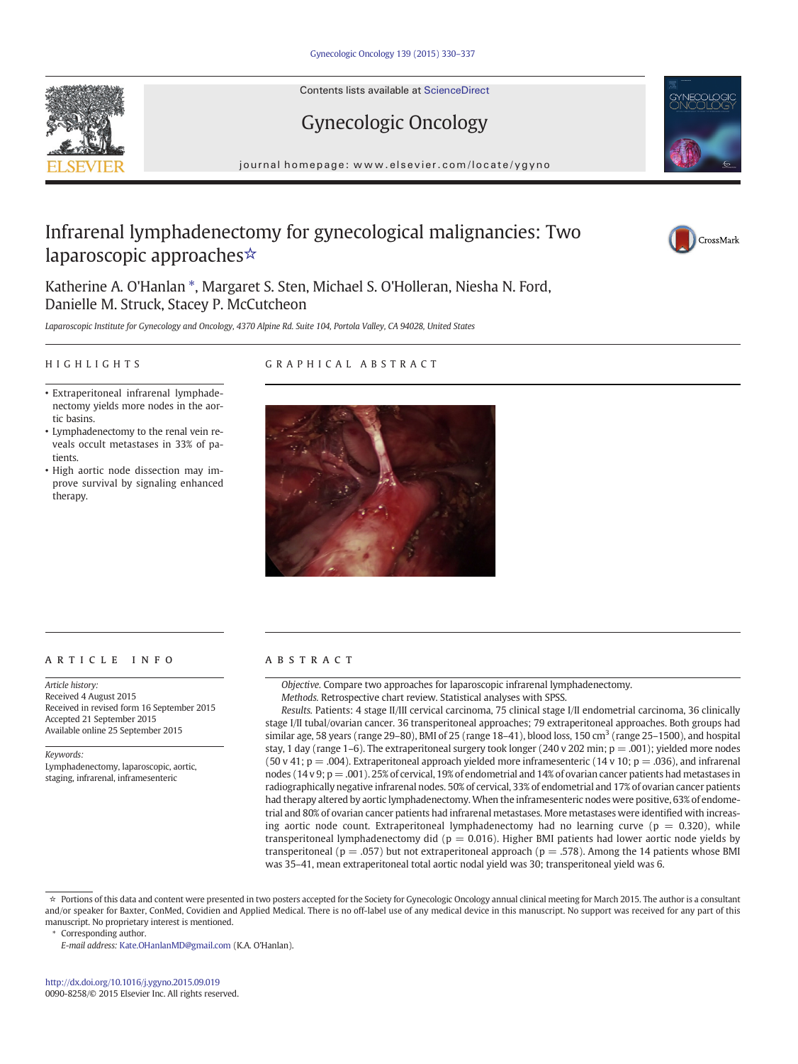Contents lists available at ScienceDirect

# Gynecologic Oncology

journal homepage: www.elsevier.com/locate/ygyno

## Infrarenal lymphadenectomy for gynecological malignancies: Two laparoscopic approaches☆

Katherine A. O'Hanlan \*, Margaret S. Sten, Michael S. O'Holleran, Niesha N. Ford, Danielle M. Struck, Stacey P. McCutcheon

Laparoscopic Institute for Gynecology and Oncology, 4370 Alpine Rd. Suite 104, Portola Valley, CA 94028, United States

#### HIGHLIGHTS

### GRAPHICAL ABSTRACT

- Extraperitoneal infrarenal lymphadenectomy yields more nodes in the aortic basins.
- Lymphadenectomy to the renal vein reveals occult metastases in 33% of patients.
- High aortic node dissection may improve survival by signaling enhanced therapy.



### article info abstract

Article history: Received 4 August 2015 Received in revised form 16 September 2015 Accepted 21 September 2015 Available online 25 September 2015

Keywords: Lymphadenectomy, laparoscopic, aortic, staging, infrarenal, inframesenteric

Objective. Compare two approaches for laparoscopic infrarenal lymphadenectomy. Methods. Retrospective chart review. Statistical analyses with SPSS.

Results. Patients: 4 stage II/III cervical carcinoma, 75 clinical stage I/II endometrial carcinoma, 36 clinically stage I/II tubal/ovarian cancer. 36 transperitoneal approaches; 79 extraperitoneal approaches. Both groups had similar age, 58 years (range 29–80), BMI of 25 (range 18–41), blood loss, 150 cm<sup>3</sup> (range 25–1500), and hospital stay, 1 day (range 1-6). The extraperitoneal surgery took longer (240 v 202 min; p = .001); yielded more nodes (50 v 41;  $p = .004$ ). Extraperitoneal approach yielded more inframesenteric (14 v 10;  $p = .036$ ), and infrarenal nodes (14 v 9; p = .001). 25% of cervical, 19% of endometrial and 14% of ovarian cancer patients had metastases in radiographically negative infrarenal nodes. 50% of cervical, 33% of endometrial and 17% of ovarian cancer patients had therapy altered by aortic lymphadenectomy. When the inframesenteric nodes were positive, 63% of endometrial and 80% of ovarian cancer patients had infrarenal metastases. More metastases were identified with increasing aortic node count. Extraperitoneal lymphadenectomy had no learning curve ( $p = 0.320$ ), while transperitoneal lymphadenectomy did ( $p = 0.016$ ). Higher BMI patients had lower aortic node yields by transperitoneal ( $p = .057$ ) but not extraperitoneal approach ( $p = .578$ ). Among the 14 patients whose BMI was 35–41, mean extraperitoneal total aortic nodal yield was 30; transperitoneal yield was 6.





<sup>☆</sup> Portions of this data and content were presented in two posters accepted for the Society for Gynecologic Oncology annual clinical meeting for March 2015. The author is a consultant and/or speaker for Baxter, ConMed, Covidien and Applied Medical. There is no off-label use of any medical device in this manuscript. No support was received for any part of this manuscript. No proprietary interest is mentioned.

<sup>⁎</sup> Corresponding author.

E-mail address: <Kate.OHanlanMD@gmail.com> (K.A. O'Hanlan).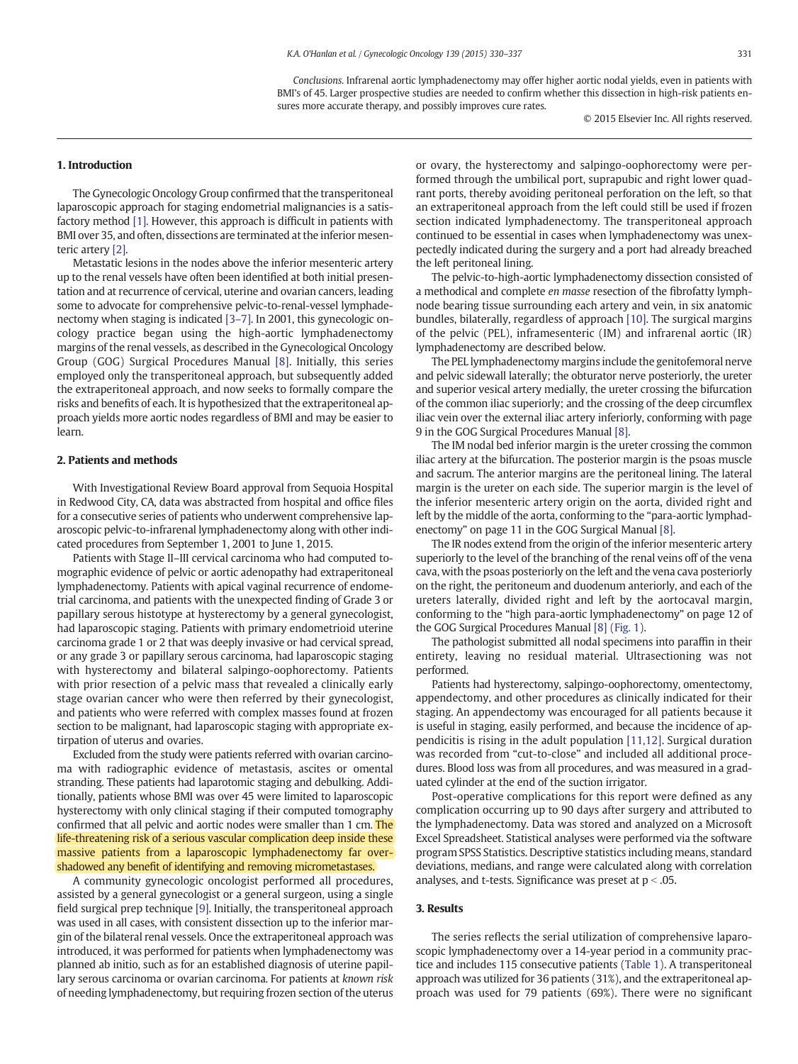Conclusions. Infrarenal aortic lymphadenectomy may offer higher aortic nodal yields, even in patients with BMI's of 45. Larger prospective studies are needed to confirm whether this dissection in high-risk patients ensures more accurate therapy, and possibly improves cure rates.

© 2015 Elsevier Inc. All rights reserved.

#### 1. Introduction

The Gynecologic Oncology Group confirmed that the transperitoneal laparoscopic approach for staging endometrial malignancies is a satisfactory method [\[1\]](#page-6-0). However, this approach is difficult in patients with BMI over 35, and often, dissections are terminated at the inferior mesenteric artery [\[2\].](#page-6-0)

Metastatic lesions in the nodes above the inferior mesenteric artery up to the renal vessels have often been identified at both initial presentation and at recurrence of cervical, uterine and ovarian cancers, leading some to advocate for comprehensive pelvic-to-renal-vessel lymphadenectomy when staging is indicated [\[3](#page-6-0)–7]. In 2001, this gynecologic oncology practice began using the high-aortic lymphadenectomy margins of the renal vessels, as described in the Gynecological Oncology Group (GOG) Surgical Procedures Manual [\[8\].](#page-6-0) Initially, this series employed only the transperitoneal approach, but subsequently added the extraperitoneal approach, and now seeks to formally compare the risks and benefits of each. It is hypothesized that the extraperitoneal approach yields more aortic nodes regardless of BMI and may be easier to learn.

#### 2. Patients and methods

With Investigational Review Board approval from Sequoia Hospital in Redwood City, CA, data was abstracted from hospital and office files for a consecutive series of patients who underwent comprehensive laparoscopic pelvic-to-infrarenal lymphadenectomy along with other indicated procedures from September 1, 2001 to June 1, 2015.

Patients with Stage II–III cervical carcinoma who had computed tomographic evidence of pelvic or aortic adenopathy had extraperitoneal lymphadenectomy. Patients with apical vaginal recurrence of endometrial carcinoma, and patients with the unexpected finding of Grade 3 or papillary serous histotype at hysterectomy by a general gynecologist, had laparoscopic staging. Patients with primary endometrioid uterine carcinoma grade 1 or 2 that was deeply invasive or had cervical spread, or any grade 3 or papillary serous carcinoma, had laparoscopic staging with hysterectomy and bilateral salpingo-oophorectomy. Patients with prior resection of a pelvic mass that revealed a clinically early stage ovarian cancer who were then referred by their gynecologist, and patients who were referred with complex masses found at frozen section to be malignant, had laparoscopic staging with appropriate extirpation of uterus and ovaries.

Excluded from the study were patients referred with ovarian carcinoma with radiographic evidence of metastasis, ascites or omental stranding. These patients had laparotomic staging and debulking. Additionally, patients whose BMI was over 45 were limited to laparoscopic hysterectomy with only clinical staging if their computed tomography confirmed that all pelvic and aortic nodes were smaller than 1 cm. The life-threatening risk of a serious vascular complication deep inside these massive patients from a laparoscopic lymphadenectomy far overshadowed any benefit of identifying and removing micrometastases.

A community gynecologic oncologist performed all procedures, assisted by a general gynecologist or a general surgeon, using a single field surgical prep technique [\[9\].](#page-6-0) Initially, the transperitoneal approach was used in all cases, with consistent dissection up to the inferior margin of the bilateral renal vessels. Once the extraperitoneal approach was introduced, it was performed for patients when lymphadenectomy was planned ab initio, such as for an established diagnosis of uterine papillary serous carcinoma or ovarian carcinoma. For patients at known risk of needing lymphadenectomy, but requiring frozen section of the uterus or ovary, the hysterectomy and salpingo-oophorectomy were performed through the umbilical port, suprapubic and right lower quadrant ports, thereby avoiding peritoneal perforation on the left, so that an extraperitoneal approach from the left could still be used if frozen section indicated lymphadenectomy. The transperitoneal approach continued to be essential in cases when lymphadenectomy was unexpectedly indicated during the surgery and a port had already breached the left peritoneal lining.

The pelvic-to-high-aortic lymphadenectomy dissection consisted of a methodical and complete en masse resection of the fibrofatty lymphnode bearing tissue surrounding each artery and vein, in six anatomic bundles, bilaterally, regardless of approach [\[10\]](#page-6-0). The surgical margins of the pelvic (PEL), inframesenteric (IM) and infrarenal aortic (IR) lymphadenectomy are described below.

The PEL lymphadenectomy margins include the genitofemoral nerve and pelvic sidewall laterally; the obturator nerve posteriorly, the ureter and superior vesical artery medially, the ureter crossing the bifurcation of the common iliac superiorly; and the crossing of the deep circumflex iliac vein over the external iliac artery inferiorly, conforming with page 9 in the GOG Surgical Procedures Manual [\[8\].](#page-6-0)

The IM nodal bed inferior margin is the ureter crossing the common iliac artery at the bifurcation. The posterior margin is the psoas muscle and sacrum. The anterior margins are the peritoneal lining. The lateral margin is the ureter on each side. The superior margin is the level of the inferior mesenteric artery origin on the aorta, divided right and left by the middle of the aorta, conforming to the "para-aortic lymphadenectomy" on page 11 in the GOG Surgical Manual [\[8\]](#page-6-0).

The IR nodes extend from the origin of the inferior mesenteric artery superiorly to the level of the branching of the renal veins off of the vena cava, with the psoas posteriorly on the left and the vena cava posteriorly on the right, the peritoneum and duodenum anteriorly, and each of the ureters laterally, divided right and left by the aortocaval margin, conforming to the "high para-aortic lymphadenectomy" on page 12 of the GOG Surgical Procedures Manual [\[8\]](#page-6-0) ([Fig. 1](#page-2-0)).

The pathologist submitted all nodal specimens into paraffin in their entirety, leaving no residual material. Ultrasectioning was not performed.

Patients had hysterectomy, salpingo-oophorectomy, omentectomy, appendectomy, and other procedures as clinically indicated for their staging. An appendectomy was encouraged for all patients because it is useful in staging, easily performed, and because the incidence of appendicitis is rising in the adult population [\[11,12\]](#page-7-0). Surgical duration was recorded from "cut-to-close" and included all additional procedures. Blood loss was from all procedures, and was measured in a graduated cylinder at the end of the suction irrigator.

Post-operative complications for this report were defined as any complication occurring up to 90 days after surgery and attributed to the lymphadenectomy. Data was stored and analyzed on a Microsoft Excel Spreadsheet. Statistical analyses were performed via the software program SPSS Statistics. Descriptive statistics including means, standard deviations, medians, and range were calculated along with correlation analyses, and t-tests. Significance was preset at  $p < .05$ .

#### 3. Results

The series reflects the serial utilization of comprehensive laparoscopic lymphadenectomy over a 14-year period in a community practice and includes 115 consecutive patients ([Table 1](#page-3-0)). A transperitoneal approach was utilized for 36 patients (31%), and the extraperitoneal approach was used for 79 patients (69%). There were no significant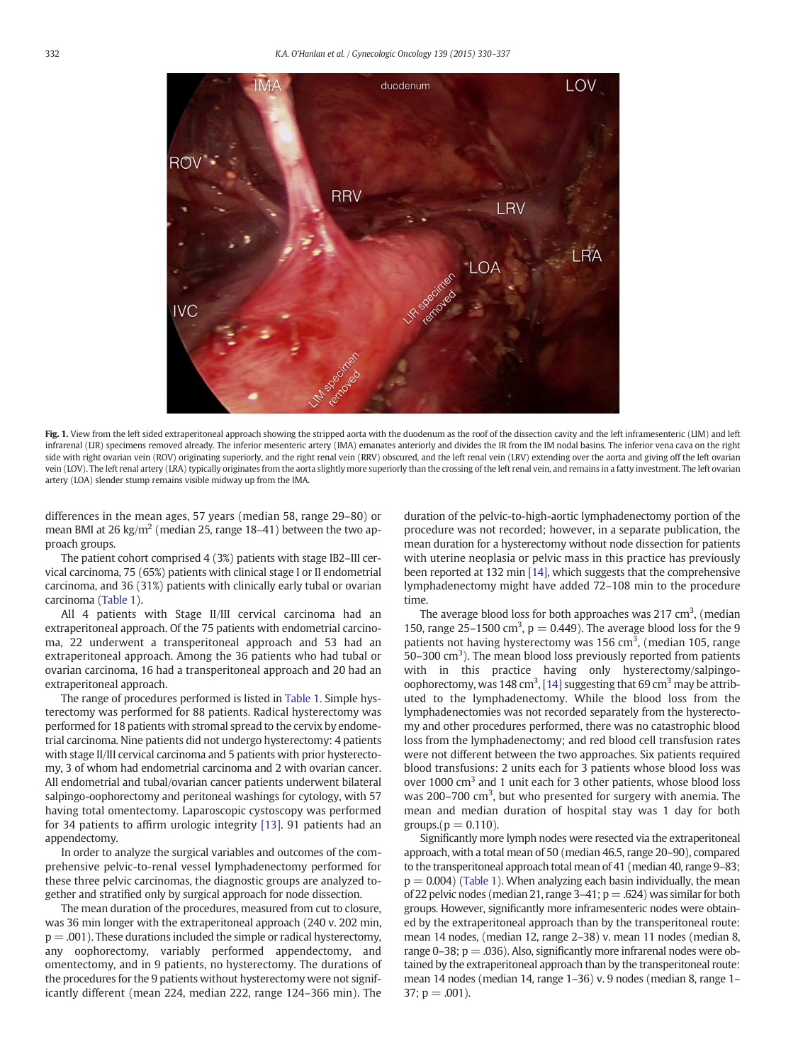<span id="page-2-0"></span>

Fig. 1. View from the left sided extraperitoneal approach showing the stripped aorta with the duodenum as the roof of the dissection cavity and the left inframesenteric (LIM) and left infrarenal (LIR) specimens removed already. The inferior mesenteric artery (IMA) emanates anteriorly and divides the IR from the IM nodal basins. The inferior vena cava on the right side with right ovarian vein (ROV) originating superiorly, and the right renal vein (RRV) obscured, and the left renal vein (LRV) extending over the aorta and giving off the left ovarian vein (LOV). The left renal artery (LRA) typically originates from the aorta slightly more superiorly than the crossing of the left renal vein, and remains in a fatty investment. The left ovarian artery (LOA) slender stump remains visible midway up from the IMA.

differences in the mean ages, 57 years (median 58, range 29–80) or mean BMI at 26 kg/m<sup>2</sup> (median 25, range 18–41) between the two approach groups.

The patient cohort comprised 4 (3%) patients with stage IB2–III cervical carcinoma, 75 (65%) patients with clinical stage I or II endometrial carcinoma, and 36 (31%) patients with clinically early tubal or ovarian carcinoma [\(Table 1\)](#page-3-0).

All 4 patients with Stage II/III cervical carcinoma had an extraperitoneal approach. Of the 75 patients with endometrial carcinoma, 22 underwent a transperitoneal approach and 53 had an extraperitoneal approach. Among the 36 patients who had tubal or ovarian carcinoma, 16 had a transperitoneal approach and 20 had an extraperitoneal approach.

The range of procedures performed is listed in [Table 1.](#page-3-0) Simple hysterectomy was performed for 88 patients. Radical hysterectomy was performed for 18 patients with stromal spread to the cervix by endometrial carcinoma. Nine patients did not undergo hysterectomy: 4 patients with stage II/III cervical carcinoma and 5 patients with prior hysterectomy, 3 of whom had endometrial carcinoma and 2 with ovarian cancer. All endometrial and tubal/ovarian cancer patients underwent bilateral salpingo-oophorectomy and peritoneal washings for cytology, with 57 having total omentectomy. Laparoscopic cystoscopy was performed for 34 patients to affirm urologic integrity [\[13\].](#page-7-0) 91 patients had an appendectomy.

In order to analyze the surgical variables and outcomes of the comprehensive pelvic-to-renal vessel lymphadenectomy performed for these three pelvic carcinomas, the diagnostic groups are analyzed together and stratified only by surgical approach for node dissection.

The mean duration of the procedures, measured from cut to closure, was 36 min longer with the extraperitoneal approach (240 v. 202 min,  $p = .001$ ). These durations included the simple or radical hysterectomy, any oophorectomy, variably performed appendectomy, and omentectomy, and in 9 patients, no hysterectomy. The durations of the procedures for the 9 patients without hysterectomy were not significantly different (mean 224, median 222, range 124–366 min). The duration of the pelvic-to-high-aortic lymphadenectomy portion of the procedure was not recorded; however, in a separate publication, the mean duration for a hysterectomy without node dissection for patients with uterine neoplasia or pelvic mass in this practice has previously been reported at 132 min [\[14\],](#page-7-0) which suggests that the comprehensive lymphadenectomy might have added 72–108 min to the procedure time.

The average blood loss for both approaches was  $217 \text{ cm}^3$ , (median 150, range 25-1500 cm<sup>3</sup>,  $p = 0.449$ ). The average blood loss for the 9 patients not having hysterectomy was 156  $\text{cm}^3$ , (median 105, range  $50-300$  cm<sup>3</sup>). The mean blood loss previously reported from patients with in this practice having only hysterectomy/salpingo-oophorectomy, was 148 cm<sup>3</sup>, [\[14\]](#page-7-0) suggesting that 69 cm<sup>3</sup> may be attributed to the lymphadenectomy. While the blood loss from the lymphadenectomies was not recorded separately from the hysterectomy and other procedures performed, there was no catastrophic blood loss from the lymphadenectomy; and red blood cell transfusion rates were not different between the two approaches. Six patients required blood transfusions: 2 units each for 3 patients whose blood loss was over 1000 cm<sup>3</sup> and 1 unit each for 3 other patients, whose blood loss was 200-700 cm<sup>3</sup>, but who presented for surgery with anemia. The mean and median duration of hospital stay was 1 day for both groups. $(p = 0.110)$ .

Significantly more lymph nodes were resected via the extraperitoneal approach, with a total mean of 50 (median 46.5, range 20–90), compared to the transperitoneal approach total mean of 41 (median 40, range 9–83;  $p = 0.004$ ) [\(Table 1](#page-3-0)). When analyzing each basin individually, the mean of 22 pelvic nodes (median 21, range  $3-41$ ;  $p = .624$ ) was similar for both groups. However, significantly more inframesenteric nodes were obtained by the extraperitoneal approach than by the transperitoneal route: mean 14 nodes, (median 12, range 2–38) v. mean 11 nodes (median 8, range  $0-38$ ;  $p = .036$ ). Also, significantly more infrarenal nodes were obtained by the extraperitoneal approach than by the transperitoneal route: mean 14 nodes (median 14, range 1–36) v. 9 nodes (median 8, range 1–  $37$ ;  $p = .001$ ).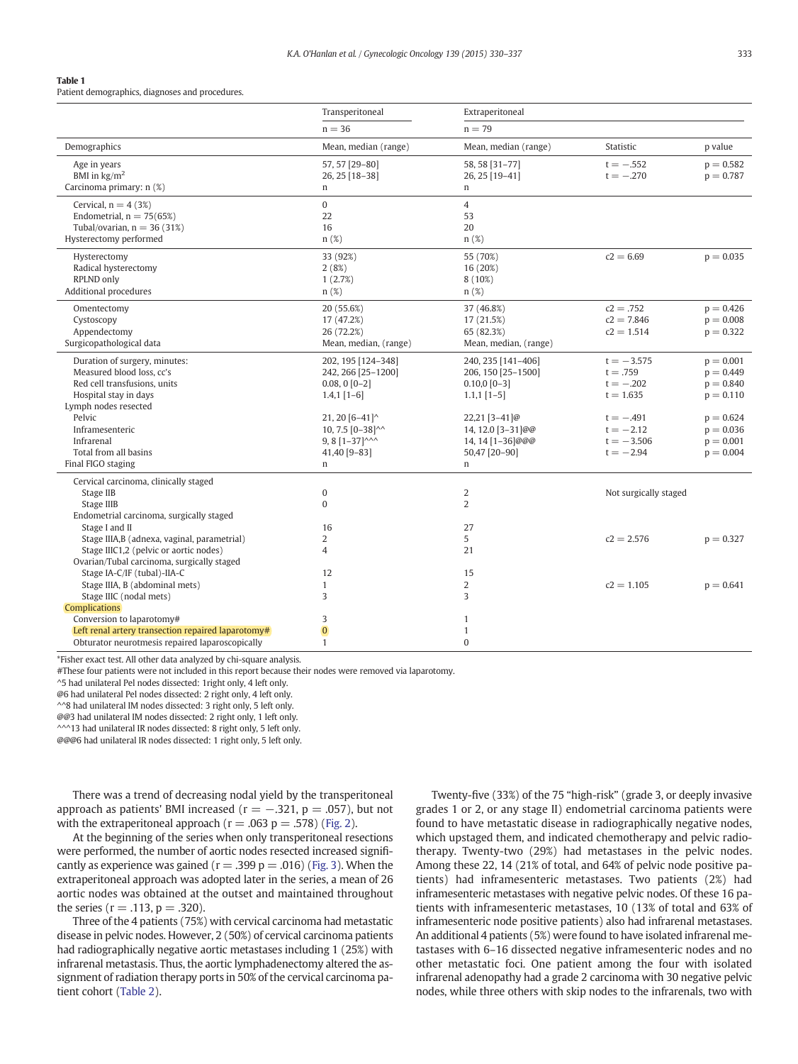#### <span id="page-3-0"></span>Table 1

Patient demographics, diagnoses and procedures.

|                                                    | Transperitoneal       | Extraperitoneal       |                       |             |
|----------------------------------------------------|-----------------------|-----------------------|-----------------------|-------------|
|                                                    | $n = 36$              | $n = 79$              |                       |             |
| Demographics                                       | Mean, median (range)  | Mean, median (range)  | Statistic             | p value     |
| Age in years                                       | 57, 57 [29-80]        | 58, 58 [31-77]        | $t = -.552$           | $p = 0.582$ |
| BMI in $\text{kg/m}^2$                             | 26, 25 [18-38]        | 26, 25 [19-41]        | $t = -.270$           | $p = 0.787$ |
| Carcinoma primary: n (%)                           | n                     | n                     |                       |             |
| Cervical, $n = 4$ (3%)                             | $\overline{0}$        | $\overline{4}$        |                       |             |
| Endometrial, $n = 75(65%)$                         | 22                    | 53                    |                       |             |
| Tubal/ovarian, $n = 36(31%)$                       | 16                    | 20                    |                       |             |
| Hysterectomy performed                             | n(%)                  | $n(\%)$               |                       |             |
| Hysterectomy                                       | 33 (92%)              | 55 (70%)              | $c2 = 6.69$           | $p = 0.035$ |
| Radical hysterectomy                               | 2(8%)                 | 16 (20%)              |                       |             |
| RPLND only                                         | 1(2.7%)               | $8(10\%)$             |                       |             |
| Additional procedures                              | n(%)                  | n(%)                  |                       |             |
| Omentectomy                                        | 20 (55.6%)            | 37 (46.8%)            | $c2 = .752$           | $p = 0.426$ |
| Cystoscopy                                         | 17 (47.2%)            | 17 (21.5%)            | $c2 = 7.846$          | $p = 0.008$ |
| Appendectomy                                       | 26 (72.2%)            | 65 (82.3%)            | $c2 = 1.514$          | $p = 0.322$ |
| Surgicopathological data                           | Mean, median, (range) | Mean, median, (range) |                       |             |
|                                                    |                       |                       |                       |             |
| Duration of surgery, minutes:                      | 202, 195 [124-348]    | 240, 235 [141-406]    | $t = -3.575$          | $p = 0.001$ |
| Measured blood loss, cc's                          | 242, 266 [25-1200]    | 206, 150 [25-1500]    | $t = .759$            | $p = 0.449$ |
| Red cell transfusions, units                       | $0.08, 0 [0-2]$       | $0.10,0$ [0-3]        | $t = -.202$           | $p = 0.840$ |
| Hospital stay in days                              | $1.4,1$ [1-6]         | $1.1,1$ [1-5]         | $t = 1.635$           | $p = 0.110$ |
| Lymph nodes resected                               |                       |                       |                       |             |
| Pelvic                                             | 21, 20 [6-41]^        | 22,21 [3-41]@         | $t = -.491$           | $p = 0.624$ |
| Inframesenteric                                    | 10, 7.5 [0-38] $\sim$ | 14, 12.0 [3-31]@@     | $t = -2.12$           | $p = 0.036$ |
| Infrarenal                                         | $9, 8$ [1-37] $\sim$  | 14, 14 [1-36]@@@      | $t = -3.506$          | $p = 0.001$ |
| Total from all basins                              | 41,40 [9-83]          | 50,47 [20-90]         | $t = -2.94$           | $p = 0.004$ |
| Final FIGO staging                                 | n                     | n                     |                       |             |
| Cervical carcinoma, clinically staged              |                       |                       |                       |             |
| Stage IIB                                          | $\mathbf{0}$          | $\overline{c}$        | Not surgically staged |             |
| Stage IIIB                                         | $\mathbf{0}$          | $\overline{2}$        |                       |             |
| Endometrial carcinoma, surgically staged           |                       |                       |                       |             |
| Stage I and II                                     | 16                    | 27                    |                       |             |
| Stage IIIA, B (adnexa, vaginal, parametrial)       | $\overline{2}$        | 5                     | $c2 = 2.576$          | $p = 0.327$ |
| Stage IIIC1,2 (pelvic or aortic nodes)             | 4                     | 21                    |                       |             |
| Ovarian/Tubal carcinoma, surgically staged         |                       |                       |                       |             |
| Stage IA-C/IF (tubal)-IIA-C                        | 12                    | 15                    |                       |             |
| Stage IIIA, B (abdominal mets)                     | 1                     | 2                     | $c2 = 1.105$          | $p = 0.641$ |
| Stage IIIC (nodal mets)                            | 3                     | 3                     |                       |             |
| <b>Complications</b>                               |                       |                       |                       |             |
| Conversion to laparotomy#                          | 3                     | $\mathbf{1}$          |                       |             |
| Left renal artery transection repaired laparotomy# | $\overline{0}$        | $\mathbf{1}$          |                       |             |
| Obturator neurotmesis repaired laparoscopically    | $\mathbf{1}$          | $\mathbf 0$           |                       |             |

\*Fisher exact test. All other data analyzed by chi-square analysis.

#These four patients were not included in this report because their nodes were removed via laparotomy.

^5 had unilateral Pel nodes dissected: 1right only, 4 left only.

@6 had unilateral Pel nodes dissected: 2 right only, 4 left only.

^^8 had unilateral IM nodes dissected: 3 right only, 5 left only.

@@3 had unilateral IM nodes dissected: 2 right only, 1 left only.

^^^13 had unilateral IR nodes dissected: 8 right only, 5 left only.

@@@6 had unilateral IR nodes dissected: 1 right only, 5 left only.

There was a trend of decreasing nodal yield by the transperitoneal approach as patients' BMI increased ( $r = -.321$ ,  $p = .057$ ), but not with the extraperitoneal approach ( $r = .063$  p = .578) [\(Fig. 2\)](#page-4-0).

At the beginning of the series when only transperitoneal resections were performed, the number of aortic nodes resected increased significantly as experience was gained ( $r = .399$  p = .016) [\(Fig. 3](#page-4-0)). When the extraperitoneal approach was adopted later in the series, a mean of 26 aortic nodes was obtained at the outset and maintained throughout the series ( $r = .113$ ,  $p = .320$ ).

Three of the 4 patients (75%) with cervical carcinoma had metastatic disease in pelvic nodes. However, 2 (50%) of cervical carcinoma patients had radiographically negative aortic metastases including 1 (25%) with infrarenal metastasis. Thus, the aortic lymphadenectomy altered the assignment of radiation therapy ports in 50% of the cervical carcinoma patient cohort ([Table 2](#page-5-0)).

Twenty-five (33%) of the 75 "high-risk" (grade 3, or deeply invasive grades 1 or 2, or any stage II) endometrial carcinoma patients were found to have metastatic disease in radiographically negative nodes, which upstaged them, and indicated chemotherapy and pelvic radiotherapy. Twenty-two (29%) had metastases in the pelvic nodes. Among these 22, 14 (21% of total, and 64% of pelvic node positive patients) had inframesenteric metastases. Two patients (2%) had inframesenteric metastases with negative pelvic nodes. Of these 16 patients with inframesenteric metastases, 10 (13% of total and 63% of inframesenteric node positive patients) also had infrarenal metastases. An additional 4 patients (5%) were found to have isolated infrarenal metastases with 6–16 dissected negative inframesenteric nodes and no other metastatic foci. One patient among the four with isolated infrarenal adenopathy had a grade 2 carcinoma with 30 negative pelvic nodes, while three others with skip nodes to the infrarenals, two with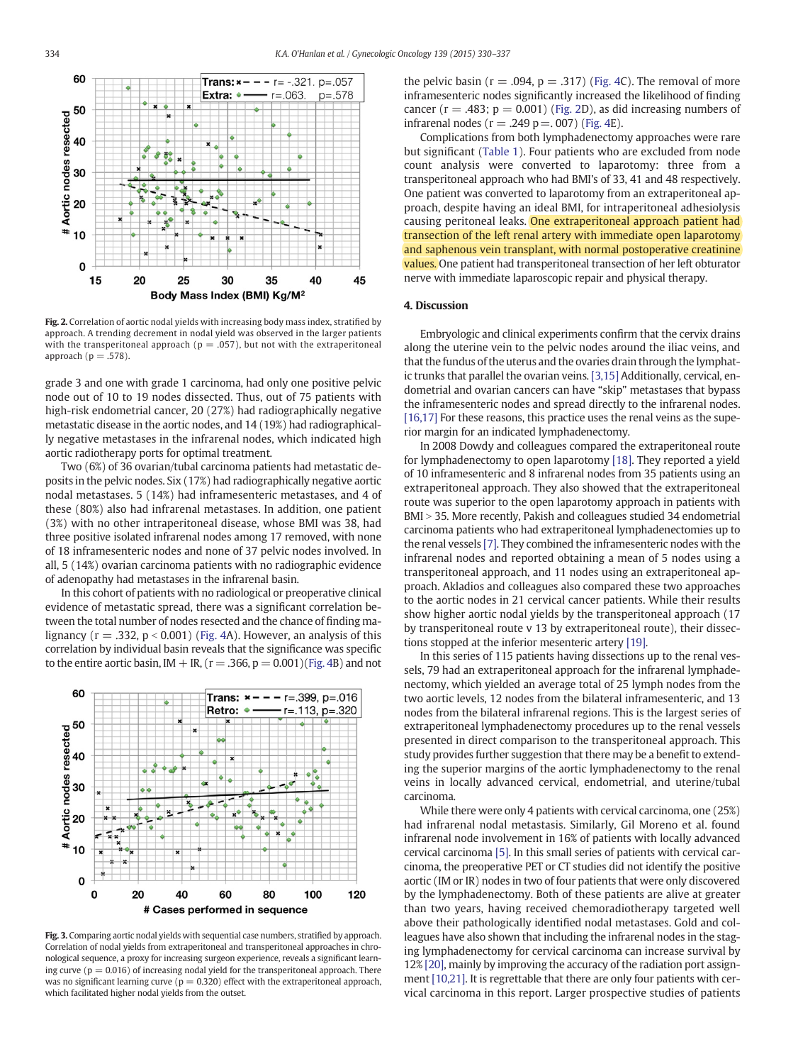<span id="page-4-0"></span>

Fig. 2. Correlation of aortic nodal yields with increasing body mass index, stratified by approach. A trending decrement in nodal yield was observed in the larger patients with the transperitoneal approach ( $p = .057$ ), but not with the extraperitoneal approach ( $p = .578$ ).

grade 3 and one with grade 1 carcinoma, had only one positive pelvic node out of 10 to 19 nodes dissected. Thus, out of 75 patients with high-risk endometrial cancer, 20 (27%) had radiographically negative metastatic disease in the aortic nodes, and 14 (19%) had radiographically negative metastases in the infrarenal nodes, which indicated high aortic radiotherapy ports for optimal treatment.

Two (6%) of 36 ovarian/tubal carcinoma patients had metastatic deposits in the pelvic nodes. Six (17%) had radiographically negative aortic nodal metastases. 5 (14%) had inframesenteric metastases, and 4 of these (80%) also had infrarenal metastases. In addition, one patient (3%) with no other intraperitoneal disease, whose BMI was 38, had three positive isolated infrarenal nodes among 17 removed, with none of 18 inframesenteric nodes and none of 37 pelvic nodes involved. In all, 5 (14%) ovarian carcinoma patients with no radiographic evidence of adenopathy had metastases in the infrarenal basin.

In this cohort of patients with no radiological or preoperative clinical evidence of metastatic spread, there was a significant correlation between the total number of nodes resected and the chance of finding malignancy ( $r = .332$ ,  $p < 0.001$ ) [\(Fig. 4A](#page-5-0)). However, an analysis of this correlation by individual basin reveals that the significance was specific to the entire aortic basin,  $IM + IR$ ,  $(r = .366, p = 0.001)$  [\(Fig. 4](#page-5-0)B) and not



Fig. 3. Comparing aortic nodal yields with sequential case numbers, stratified by approach. Correlation of nodal yields from extraperitoneal and transperitoneal approaches in chronological sequence, a proxy for increasing surgeon experience, reveals a significant learning curve ( $p = 0.016$ ) of increasing nodal yield for the transperitoneal approach. There was no significant learning curve ( $p = 0.320$ ) effect with the extraperitoneal approach, which facilitated higher nodal yields from the outset.

the pelvic basin ( $r = .094$ ,  $p = .317$ ) ([Fig. 4](#page-5-0)C). The removal of more inframesenteric nodes significantly increased the likelihood of finding cancer ( $r = .483$ ;  $p = 0.001$ ) (Fig. 2D), as did increasing numbers of infrarenal nodes ( $r = .249$  p=. 007) [\(Fig. 4E](#page-5-0)).

Complications from both lymphadenectomy approaches were rare but significant ([Table 1](#page-3-0)). Four patients who are excluded from node count analysis were converted to laparotomy: three from a transperitoneal approach who had BMI's of 33, 41 and 48 respectively. One patient was converted to laparotomy from an extraperitoneal approach, despite having an ideal BMI, for intraperitoneal adhesiolysis causing peritoneal leaks. One extraperitoneal approach patient had transection of the left renal artery with immediate open laparotomy and saphenous vein transplant, with normal postoperative creatinine values. One patient had transperitoneal transection of her left obturator nerve with immediate laparoscopic repair and physical therapy.

#### 4. Discussion

Embryologic and clinical experiments confirm that the cervix drains along the uterine vein to the pelvic nodes around the iliac veins, and that the fundus of the uterus and the ovaries drain through the lymphatic trunks that parallel the ovarian veins. [\[3,15\]](#page-6-0) Additionally, cervical, endometrial and ovarian cancers can have "skip" metastases that bypass the inframesenteric nodes and spread directly to the infrarenal nodes. [\[16,17\]](#page-7-0) For these reasons, this practice uses the renal veins as the superior margin for an indicated lymphadenectomy.

In 2008 Dowdy and colleagues compared the extraperitoneal route for lymphadenectomy to open laparotomy [\[18\].](#page-7-0) They reported a yield of 10 inframesenteric and 8 infrarenal nodes from 35 patients using an extraperitoneal approach. They also showed that the extraperitoneal route was superior to the open laparotomy approach in patients with BMI > 35. More recently, Pakish and colleagues studied 34 endometrial carcinoma patients who had extraperitoneal lymphadenectomies up to the renal vessels [\[7\].](#page-6-0) They combined the inframesenteric nodes with the infrarenal nodes and reported obtaining a mean of 5 nodes using a transperitoneal approach, and 11 nodes using an extraperitoneal approach. Akladios and colleagues also compared these two approaches to the aortic nodes in 21 cervical cancer patients. While their results show higher aortic nodal yields by the transperitoneal approach (17 by transperitoneal route v 13 by extraperitoneal route), their dissections stopped at the inferior mesenteric artery [\[19\]](#page-7-0).

In this series of 115 patients having dissections up to the renal vessels, 79 had an extraperitoneal approach for the infrarenal lymphadenectomy, which yielded an average total of 25 lymph nodes from the two aortic levels, 12 nodes from the bilateral inframesenteric, and 13 nodes from the bilateral infrarenal regions. This is the largest series of extraperitoneal lymphadenectomy procedures up to the renal vessels presented in direct comparison to the transperitoneal approach. This study provides further suggestion that there may be a benefit to extending the superior margins of the aortic lymphadenectomy to the renal veins in locally advanced cervical, endometrial, and uterine/tubal carcinoma.

While there were only 4 patients with cervical carcinoma, one (25%) had infrarenal nodal metastasis. Similarly, Gil Moreno et al. found infrarenal node involvement in 16% of patients with locally advanced cervical carcinoma [\[5\].](#page-6-0) In this small series of patients with cervical carcinoma, the preoperative PET or CT studies did not identify the positive aortic (IM or IR) nodes in two of four patients that were only discovered by the lymphadenectomy. Both of these patients are alive at greater than two years, having received chemoradiotherapy targeted well above their pathologically identified nodal metastases. Gold and colleagues have also shown that including the infrarenal nodes in the staging lymphadenectomy for cervical carcinoma can increase survival by 12% [\[20\]](#page-7-0), mainly by improving the accuracy of the radiation port assignment [\[10,21\]](#page-6-0). It is regrettable that there are only four patients with cervical carcinoma in this report. Larger prospective studies of patients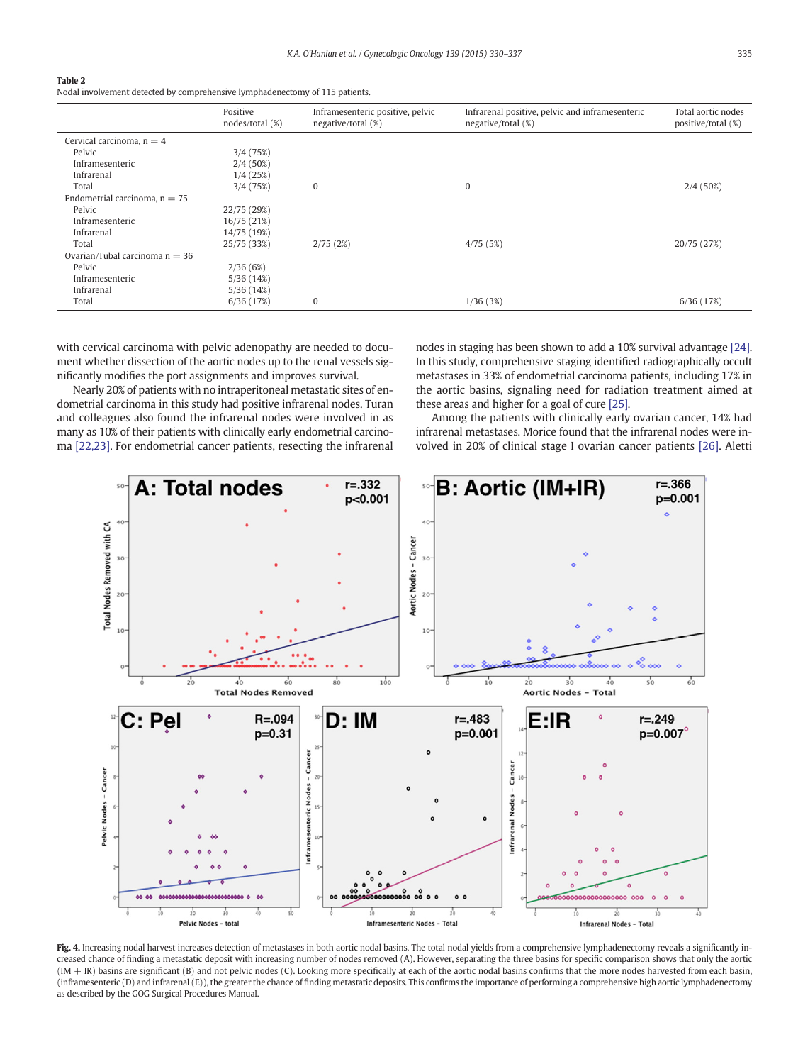#### <span id="page-5-0"></span>Table 2

Nodal involvement detected by comprehensive lymphadenectomy of 115 patients.

|                                  | Positive<br>nodes/total (%) | Inframesenteric positive, pelvic<br>negative/total (%) | Infrarenal positive, pelvic and inframesenteric<br>negative/total (%) | Total aortic nodes<br>positive/total (%) |
|----------------------------------|-----------------------------|--------------------------------------------------------|-----------------------------------------------------------------------|------------------------------------------|
| Cervical carcinoma, $n = 4$      |                             |                                                        |                                                                       |                                          |
| Pelvic                           | 3/4(75%)                    |                                                        |                                                                       |                                          |
| Inframesenteric                  | $2/4(50\%)$                 |                                                        |                                                                       |                                          |
| Infrarenal                       | 1/4(25%)                    |                                                        |                                                                       |                                          |
| Total                            | 3/4(75%)                    | $\boldsymbol{0}$                                       | $\bf{0}$                                                              | $2/4(50\%)$                              |
| Endometrial carcinoma, $n = 75$  |                             |                                                        |                                                                       |                                          |
| Pelvic                           | 22/75 (29%)                 |                                                        |                                                                       |                                          |
| Inframesenteric                  | 16/75 (21%)                 |                                                        |                                                                       |                                          |
| Infrarenal                       | 14/75 (19%)                 |                                                        |                                                                       |                                          |
| Total                            | 25/75 (33%)                 | 2/75(2%)                                               | 4/75(5%)                                                              | 20/75 (27%)                              |
| Ovarian/Tubal carcinoma $n = 36$ |                             |                                                        |                                                                       |                                          |
| Pelvic                           | 2/36(6%)                    |                                                        |                                                                       |                                          |
| Inframesenteric                  | 5/36(14%)                   |                                                        |                                                                       |                                          |
| Infrarenal                       | 5/36(14%)                   |                                                        |                                                                       |                                          |
| Total                            | 6/36(17%)                   | $\mathbf{0}$                                           | 1/36(3%)                                                              | 6/36(17%)                                |

with cervical carcinoma with pelvic adenopathy are needed to document whether dissection of the aortic nodes up to the renal vessels significantly modifies the port assignments and improves survival.

Nearly 20% of patients with no intraperitoneal metastatic sites of endometrial carcinoma in this study had positive infrarenal nodes. Turan and colleagues also found the infrarenal nodes were involved in as many as 10% of their patients with clinically early endometrial carcinoma [\[22,23\]](#page-7-0). For endometrial cancer patients, resecting the infrarenal nodes in staging has been shown to add a 10% survival advantage [\[24\].](#page-7-0) In this study, comprehensive staging identified radiographically occult metastases in 33% of endometrial carcinoma patients, including 17% in the aortic basins, signaling need for radiation treatment aimed at these areas and higher for a goal of cure [\[25\].](#page-7-0)

Among the patients with clinically early ovarian cancer, 14% had infrarenal metastases. Morice found that the infrarenal nodes were involved in 20% of clinical stage I ovarian cancer patients [\[26\].](#page-7-0) Aletti



Fig. 4. Increasing nodal harvest increases detection of metastases in both aortic nodal basins. The total nodal yields from a comprehensive lymphadenectomy reveals a significantly increased chance of finding a metastatic deposit with increasing number of nodes removed (A). However, separating the three basins for specific comparison shows that only the aortic (IM + IR) basins are significant (B) and not pelvic nodes (C). Looking more specifically at each of the aortic nodal basins confirms that the more nodes harvested from each basin, (inframesenteric (D) and infrarenal (E)), the greater the chance of finding metastatic deposits. This confirms the importance of performing a comprehensive high aortic lymphadenectomy as described by the GOG Surgical Procedures Manual.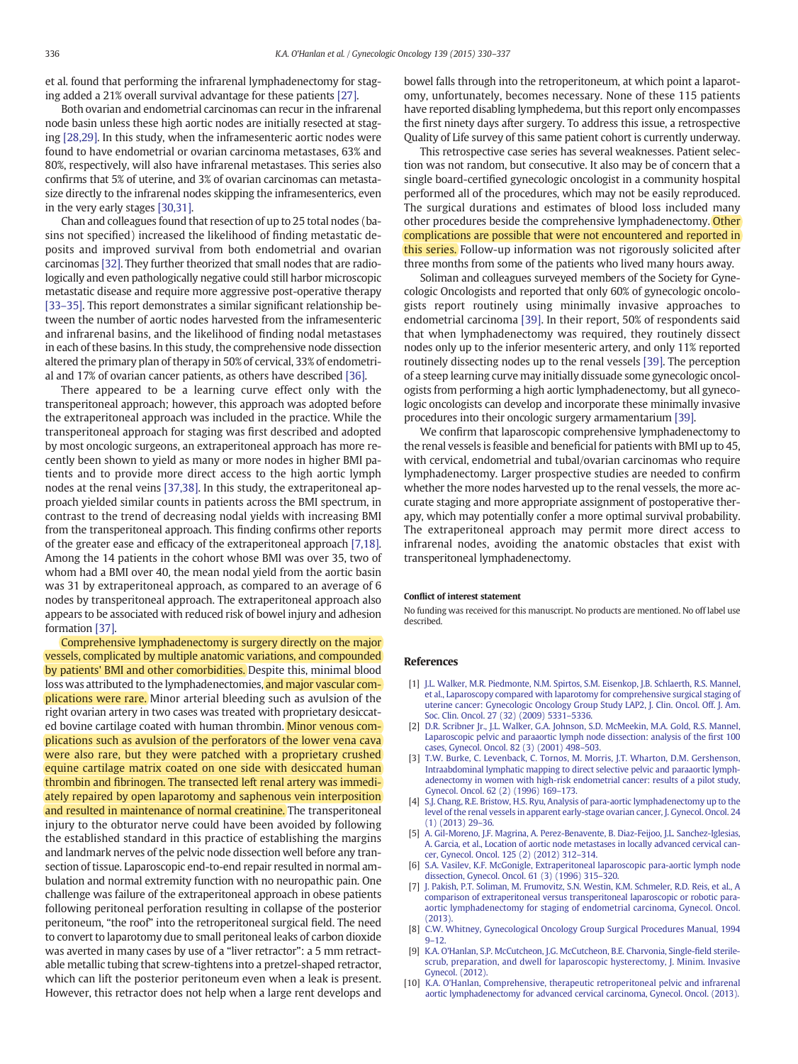<span id="page-6-0"></span>et al. found that performing the infrarenal lymphadenectomy for staging added a 21% overall survival advantage for these patients [\[27\]](#page-7-0).

Both ovarian and endometrial carcinomas can recur in the infrarenal node basin unless these high aortic nodes are initially resected at staging [\[28,29\].](#page-7-0) In this study, when the inframesenteric aortic nodes were found to have endometrial or ovarian carcinoma metastases, 63% and 80%, respectively, will also have infrarenal metastases. This series also confirms that 5% of uterine, and 3% of ovarian carcinomas can metastasize directly to the infrarenal nodes skipping the inframesenterics, even in the very early stages [\[30,31\].](#page-7-0)

Chan and colleagues found that resection of up to 25 total nodes (basins not specified) increased the likelihood of finding metastatic deposits and improved survival from both endometrial and ovarian carcinomas [\[32\].](#page-7-0) They further theorized that small nodes that are radiologically and even pathologically negative could still harbor microscopic metastatic disease and require more aggressive post-operative therapy [\[33](#page-7-0)–35]. This report demonstrates a similar significant relationship between the number of aortic nodes harvested from the inframesenteric and infrarenal basins, and the likelihood of finding nodal metastases in each of these basins. In this study, the comprehensive node dissection altered the primary plan of therapy in 50% of cervical, 33% of endometrial and 17% of ovarian cancer patients, as others have described [\[36\]](#page-7-0).

There appeared to be a learning curve effect only with the transperitoneal approach; however, this approach was adopted before the extraperitoneal approach was included in the practice. While the transperitoneal approach for staging was first described and adopted by most oncologic surgeons, an extraperitoneal approach has more recently been shown to yield as many or more nodes in higher BMI patients and to provide more direct access to the high aortic lymph nodes at the renal veins [\[37,38\].](#page-7-0) In this study, the extraperitoneal approach yielded similar counts in patients across the BMI spectrum, in contrast to the trend of decreasing nodal yields with increasing BMI from the transperitoneal approach. This finding confirms other reports of the greater ease and efficacy of the extraperitoneal approach [7,18]. Among the 14 patients in the cohort whose BMI was over 35, two of whom had a BMI over 40, the mean nodal yield from the aortic basin was 31 by extraperitoneal approach, as compared to an average of 6 nodes by transperitoneal approach. The extraperitoneal approach also appears to be associated with reduced risk of bowel injury and adhesion formation [\[37\]](#page-7-0).

Comprehensive lymphadenectomy is surgery directly on the major vessels, complicated by multiple anatomic variations, and compounded by patients' BMI and other comorbidities. Despite this, minimal blood loss was attributed to the lymphadenectomies, and major vascular complications were rare. Minor arterial bleeding such as avulsion of the right ovarian artery in two cases was treated with proprietary desiccated bovine cartilage coated with human thrombin. Minor venous complications such as avulsion of the perforators of the lower vena cava were also rare, but they were patched with a proprietary crushed equine cartilage matrix coated on one side with desiccated human thrombin and fibrinogen. The transected left renal artery was immediately repaired by open laparotomy and saphenous vein interposition and resulted in maintenance of normal creatinine. The transperitoneal injury to the obturator nerve could have been avoided by following the established standard in this practice of establishing the margins and landmark nerves of the pelvic node dissection well before any transection of tissue. Laparoscopic end-to-end repair resulted in normal ambulation and normal extremity function with no neuropathic pain. One challenge was failure of the extraperitoneal approach in obese patients following peritoneal perforation resulting in collapse of the posterior peritoneum, "the roof" into the retroperitoneal surgical field. The need to convert to laparotomy due to small peritoneal leaks of carbon dioxide was averted in many cases by use of a "liver retractor": a 5 mm retractable metallic tubing that screw-tightens into a pretzel-shaped retractor, which can lift the posterior peritoneum even when a leak is present. However, this retractor does not help when a large rent develops and

bowel falls through into the retroperitoneum, at which point a laparotomy, unfortunately, becomes necessary. None of these 115 patients have reported disabling lymphedema, but this report only encompasses the first ninety days after surgery. To address this issue, a retrospective Quality of Life survey of this same patient cohort is currently underway.

This retrospective case series has several weaknesses. Patient selection was not random, but consecutive. It also may be of concern that a single board-certified gynecologic oncologist in a community hospital performed all of the procedures, which may not be easily reproduced. The surgical durations and estimates of blood loss included many other procedures beside the comprehensive lymphadenectomy. Other complications are possible that were not encountered and reported in this series. Follow-up information was not rigorously solicited after three months from some of the patients who lived many hours away.

Soliman and colleagues surveyed members of the Society for Gynecologic Oncologists and reported that only 60% of gynecologic oncologists report routinely using minimally invasive approaches to endometrial carcinoma [\[39\].](#page-7-0) In their report, 50% of respondents said that when lymphadenectomy was required, they routinely dissect nodes only up to the inferior mesenteric artery, and only 11% reported routinely dissecting nodes up to the renal vessels [\[39\].](#page-7-0) The perception of a steep learning curve may initially dissuade some gynecologic oncologists from performing a high aortic lymphadenectomy, but all gynecologic oncologists can develop and incorporate these minimally invasive procedures into their oncologic surgery armamentarium [\[39\]](#page-7-0).

We confirm that laparoscopic comprehensive lymphadenectomy to the renal vessels is feasible and beneficial for patients with BMI up to 45, with cervical, endometrial and tubal/ovarian carcinomas who require lymphadenectomy. Larger prospective studies are needed to confirm whether the more nodes harvested up to the renal vessels, the more accurate staging and more appropriate assignment of postoperative therapy, which may potentially confer a more optimal survival probability. The extraperitoneal approach may permit more direct access to infrarenal nodes, avoiding the anatomic obstacles that exist with transperitoneal lymphadenectomy.

#### Conflict of interest statement

No funding was received for this manuscript. No products are mentioned. No off label use described.

#### References

- [1] [J.L. Walker, M.R. Piedmonte, N.M. Spirtos, S.M. Eisenkop, J.B. Schlaerth, R.S. Mannel,](http://refhub.elsevier.com/S0090-8258(15)30135-9/rf0005) [et al., Laparoscopy compared with laparotomy for comprehensive surgical staging of](http://refhub.elsevier.com/S0090-8258(15)30135-9/rf0005) [uterine cancer: Gynecologic Oncology Group Study LAP2, J. Clin. Oncol. Off. J. Am.](http://refhub.elsevier.com/S0090-8258(15)30135-9/rf0005) [Soc. Clin. Oncol. 27 \(32\) \(2009\) 5331](http://refhub.elsevier.com/S0090-8258(15)30135-9/rf0005)–5336.
- [2] [D.R. Scribner Jr., J.L. Walker, G.A. Johnson, S.D. McMeekin, M.A. Gold, R.S. Mannel,](http://refhub.elsevier.com/S0090-8258(15)30135-9/rf0010) [Laparoscopic pelvic and paraaortic lymph node dissection: analysis of the](http://refhub.elsevier.com/S0090-8258(15)30135-9/rf0010) first 100 [cases, Gynecol. Oncol. 82 \(3\) \(2001\) 498](http://refhub.elsevier.com/S0090-8258(15)30135-9/rf0010)–503.
- [3] [T.W. Burke, C. Levenback, C. Tornos, M. Morris, J.T. Wharton, D.M. Gershenson,](http://refhub.elsevier.com/S0090-8258(15)30135-9/rf0015) [Intraabdominal lymphatic mapping to direct selective pelvic and paraaortic lymph](http://refhub.elsevier.com/S0090-8258(15)30135-9/rf0015)[adenectomy in women with high-risk endometrial cancer: results of a pilot study,](http://refhub.elsevier.com/S0090-8258(15)30135-9/rf0015) [Gynecol. Oncol. 62 \(2\) \(1996\) 169](http://refhub.elsevier.com/S0090-8258(15)30135-9/rf0015)–173.
- [4] [S.J. Chang, R.E. Bristow, H.S. Ryu, Analysis of para-aortic lymphadenectomy up to the](http://refhub.elsevier.com/S0090-8258(15)30135-9/rf0020) [level of the renal vessels in apparent early-stage ovarian cancer, J. Gynecol. Oncol. 24](http://refhub.elsevier.com/S0090-8258(15)30135-9/rf0020) [\(1\) \(2013\) 29](http://refhub.elsevier.com/S0090-8258(15)30135-9/rf0020)–36.
- [5] [A. Gil-Moreno, J.F. Magrina, A. Perez-Benavente, B. Diaz-Feijoo, J.L. Sanchez-Iglesias,](http://refhub.elsevier.com/S0090-8258(15)30135-9/rf0025) [A. Garcia, et al., Location of aortic node metastases in locally advanced cervical can](http://refhub.elsevier.com/S0090-8258(15)30135-9/rf0025)[cer, Gynecol. Oncol. 125 \(2\) \(2012\) 312](http://refhub.elsevier.com/S0090-8258(15)30135-9/rf0025)–314.
- [6] [S.A. Vasilev, K.F. McGonigle, Extraperitoneal laparoscopic para-aortic lymph node](http://refhub.elsevier.com/S0090-8258(15)30135-9/rf0030) [dissection, Gynecol. Oncol. 61 \(3\) \(1996\) 315](http://refhub.elsevier.com/S0090-8258(15)30135-9/rf0030)–320.
- [7] [J. Pakish, P.T. Soliman, M. Frumovitz, S.N. Westin, K.M. Schmeler, R.D. Reis, et al., A](http://refhub.elsevier.com/S0090-8258(15)30135-9/rf0035) [comparison of extraperitoneal versus transperitoneal laparoscopic or robotic para](http://refhub.elsevier.com/S0090-8258(15)30135-9/rf0035)[aortic lymphadenectomy for staging of endometrial carcinoma, Gynecol. Oncol.](http://refhub.elsevier.com/S0090-8258(15)30135-9/rf0035)  $(2013)$
- [8] [C.W. Whitney, Gynecological Oncology Group Surgical Procedures Manual, 1994](http://refhub.elsevier.com/S0090-8258(15)30135-9/rf0040) 9–[12.](http://refhub.elsevier.com/S0090-8258(15)30135-9/rf0040)
- [9] [K.A. O'Hanlan, S.P. McCutcheon, J.G. McCutcheon, B.E. Charvonia, Single-](http://refhub.elsevier.com/S0090-8258(15)30135-9/rf0045)field sterile[scrub, preparation, and dwell for laparoscopic hysterectomy, J. Minim. Invasive](http://refhub.elsevier.com/S0090-8258(15)30135-9/rf0045) [Gynecol. \(2012\).](http://refhub.elsevier.com/S0090-8258(15)30135-9/rf0045)
- [10] [K.A. O'Hanlan, Comprehensive, therapeutic retroperitoneal pelvic and infrarenal](http://refhub.elsevier.com/S0090-8258(15)30135-9/rf0050) [aortic lymphadenectomy for advanced cervical carcinoma, Gynecol. Oncol. \(2013\).](http://refhub.elsevier.com/S0090-8258(15)30135-9/rf0050)